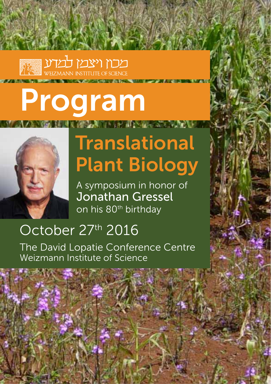

# Program



# **Translational Plant Biology**

*Children Committee* 

A symposium in honor of Jonathan Gressel on his 80<sup>th</sup> birthday

## October 27th 2016

The David Lopatie Conference Centre Weizmann Institute of Science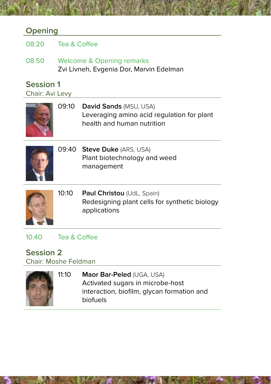#### **Opening**

| 08:20                               | Tea & Coffee                                                         |                                                                                                           |  |  |
|-------------------------------------|----------------------------------------------------------------------|-----------------------------------------------------------------------------------------------------------|--|--|
| 08.50                               | Welcome & Opening remarks<br>Zvi Livneh, Evgenia Dor, Marvin Edelman |                                                                                                           |  |  |
| <b>Session 1</b><br>Chair: Avi Levy |                                                                      |                                                                                                           |  |  |
|                                     | 09:10                                                                | <b>David Sands (MSU, USA)</b><br>Leveraging amino acid regulation for plant<br>health and human nutrition |  |  |
|                                     |                                                                      | 09:40 Steve Duke (ARS, USA)<br>Plant biotechnology and weed<br>management                                 |  |  |
|                                     | 10:10                                                                | Paul Christou (UdL, Spain)<br>Redesigning plant cells for synthetic biology<br>applications               |  |  |
|                                     |                                                                      |                                                                                                           |  |  |

#### 10.40 Tea & Coffee

### **2 Session**

Chair: Moshe Feldman

| 11:10 | Maor Bar-Peled (UGA, USA)                  |
|-------|--------------------------------------------|
|       | Activated sugars in microbe-host           |
|       | interaction, biofilm, glycan formation and |
|       | biofuels                                   |
|       |                                            |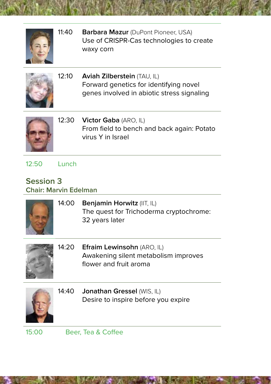

11:40 **Barbara Mazur** (DuPont Pioneer, USA) Use of CRISPR-Cas technologies to create waxy corn





12:50 Lunch

#### **Session**<sub>3</sub> **Chair: Marvin Edelman**

| 14:00 | <b>Benjamin Horwitz (IIT, IL)</b><br>The quest for Trichoderma cryptochrome:<br>32 years later     |
|-------|----------------------------------------------------------------------------------------------------|
|       | 14:20 Efraim Lewinsohn (ARO, IL)<br>Awakening silent metabolism improves<br>flower and fruit aroma |
|       | 14:40 Jonathan Gressel (WIS, IL)                                                                   |

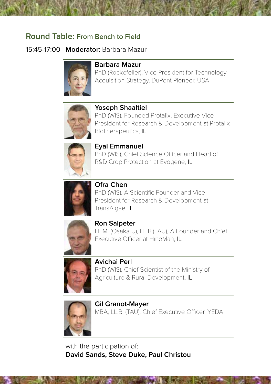#### **Round Table: From Bench to Field**

#### 15:45-17:00 **Moderator** Barbara Mazur



#### **Mazur Barbara**

PhD (Rockefeller). Vice President for Technology Acquisition Strategy, DuPont Pioneer, USA



#### **Yoseph Shaaltiel**

PhD (WIS), Founded Protalix, Executive Vice President for Research & Development at Protalix BioTherapeutics, IL



**Eyal Emmanuel** PhD (WIS), Chief Science Officer and Head of R&D Crop Protection at Evogene, IL



**Chen Ofra** PhD (WIS), A Scientific Founder and Vice President for Research & Development at TransAlgae, IL



**Ron Salpeter** LL.M. (Osaka U), LL.B. (TAU), A Founder and Chief Executive Officer at HinoMan, IL



**Avichai Perl** PhD (WIS), Chief Scientist of the Ministry of Agriculture & Rural Development, IL



**Gil Granot-Maver** MBA, LL.B. (TAU), Chief Executive Officer, YEDA

with the participation of: **David Sands, Steve Duke, Paul Christou**